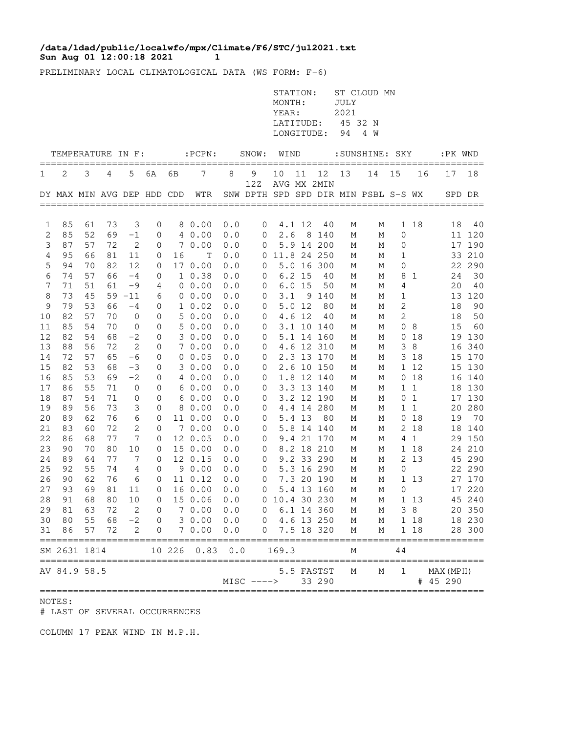## Sun Aug 01 12:00:18 2021 1 **/data/ldad/public/localwfo/mpx/Climate/F6/STC/jul2021.txt**

PRELIMINARY LOCAL CLIMATOLOGICAL DATA (WS FORM: F-6)

|                                                                                                                                                                                |                                                                                                                                                                |                                                                                                                                                                |                                                                                                                                                          |                                                                                                                                                                                                                    |                                                                                                                                                                    |    |                                                                                                                                                                                                                                                                               |                                                                                                                                                                                           |                                                                                                                                                                                                                                                                                                                                                                                   | STATION:<br>MONTH:<br>YEAR:<br>LATITUDE:<br>LONGITUDE: |                                                          |                                                                                                                                                                                                                                                                                                                                 | JULY<br>2021<br>45 32 N<br>94                                                                                                       | ST CLOUD MN<br>4 W                                                                                                                  |                                                                                                   |                                                                                                                                                                                        |                                        |                                                                                                                                                                                                                                                |
|--------------------------------------------------------------------------------------------------------------------------------------------------------------------------------|----------------------------------------------------------------------------------------------------------------------------------------------------------------|----------------------------------------------------------------------------------------------------------------------------------------------------------------|----------------------------------------------------------------------------------------------------------------------------------------------------------|--------------------------------------------------------------------------------------------------------------------------------------------------------------------------------------------------------------------|--------------------------------------------------------------------------------------------------------------------------------------------------------------------|----|-------------------------------------------------------------------------------------------------------------------------------------------------------------------------------------------------------------------------------------------------------------------------------|-------------------------------------------------------------------------------------------------------------------------------------------------------------------------------------------|-----------------------------------------------------------------------------------------------------------------------------------------------------------------------------------------------------------------------------------------------------------------------------------------------------------------------------------------------------------------------------------|--------------------------------------------------------|----------------------------------------------------------|---------------------------------------------------------------------------------------------------------------------------------------------------------------------------------------------------------------------------------------------------------------------------------------------------------------------------------|-------------------------------------------------------------------------------------------------------------------------------------|-------------------------------------------------------------------------------------------------------------------------------------|---------------------------------------------------------------------------------------------------|----------------------------------------------------------------------------------------------------------------------------------------------------------------------------------------|----------------------------------------|------------------------------------------------------------------------------------------------------------------------------------------------------------------------------------------------------------------------------------------------|
|                                                                                                                                                                                | TEMPERATURE IN F:                                                                                                                                              |                                                                                                                                                                |                                                                                                                                                          |                                                                                                                                                                                                                    |                                                                                                                                                                    |    | $:$ $PCPN:$                                                                                                                                                                                                                                                                   |                                                                                                                                                                                           | SNOW:                                                                                                                                                                                                                                                                                                                                                                             | WIND                                                   |                                                          |                                                                                                                                                                                                                                                                                                                                 |                                                                                                                                     | : SUNSHINE: SKY                                                                                                                     |                                                                                                   |                                                                                                                                                                                        | :PK WND                                |                                                                                                                                                                                                                                                |
| 1                                                                                                                                                                              | 2                                                                                                                                                              | 3                                                                                                                                                              | 4                                                                                                                                                        | 5                                                                                                                                                                                                                  | 6A                                                                                                                                                                 | 6B | 7                                                                                                                                                                                                                                                                             | 8                                                                                                                                                                                         | 9<br>12Z                                                                                                                                                                                                                                                                                                                                                                          | 10<br>AVG MX 2MIN                                      | 11                                                       | 12                                                                                                                                                                                                                                                                                                                              | 13                                                                                                                                  | 14                                                                                                                                  | 15                                                                                                | 16                                                                                                                                                                                     | 17                                     | 18                                                                                                                                                                                                                                             |
|                                                                                                                                                                                | DY MAX MIN AVG DEP HDD CDD                                                                                                                                     |                                                                                                                                                                |                                                                                                                                                          |                                                                                                                                                                                                                    |                                                                                                                                                                    |    | WTR                                                                                                                                                                                                                                                                           |                                                                                                                                                                                           |                                                                                                                                                                                                                                                                                                                                                                                   |                                                        |                                                          |                                                                                                                                                                                                                                                                                                                                 |                                                                                                                                     | SNW DPTH SPD SPD DIR MIN PSBL S-S WX                                                                                                |                                                                                                   |                                                                                                                                                                                        | SPD DR                                 |                                                                                                                                                                                                                                                |
| 1<br>2<br>3<br>4<br>5<br>6<br>$\boldsymbol{7}$<br>8<br>$\mathsf 9$<br>10<br>11<br>12<br>13<br>14<br>15<br>16<br>17<br>18<br>19<br>20<br>21<br>22<br>23<br>24<br>25<br>26<br>27 | 85<br>85<br>87<br>95<br>94<br>74<br>71<br>73<br>79<br>82<br>85<br>82<br>88<br>72<br>82<br>85<br>86<br>87<br>89<br>89<br>83<br>86<br>90<br>89<br>92<br>90<br>93 | 61<br>52<br>57<br>66<br>70<br>57<br>51<br>45<br>53<br>57<br>54<br>54<br>56<br>57<br>53<br>53<br>55<br>54<br>56<br>62<br>60<br>68<br>70<br>64<br>55<br>62<br>69 | 73<br>69<br>72<br>81<br>82<br>66<br>61<br>66<br>70<br>70<br>68<br>72<br>65<br>68<br>69<br>71<br>71<br>73<br>76<br>72<br>77<br>80<br>77<br>74<br>76<br>81 | 3<br>$^{\rm -1}$<br>2<br>11<br>12<br>$-4$<br>$-9$<br>$59 - 11$<br>$-4$<br>$\mathbf 0$<br>0<br>$-2$<br>$\mathbf{2}$<br>$-6$<br>$-3$<br>$-2$<br>0<br>0<br>3<br>$6\,$<br>$\mathbf{2}$<br>7<br>10<br>7<br>4<br>6<br>11 | 0<br>0<br>0<br>0<br>0<br>0<br>4<br>6<br>0<br>0<br>$\mathbf 0$<br>0<br>0<br>0<br>0<br>0<br>0<br>0<br>0<br>0<br>0<br>0<br>0<br>0<br>$\mathbf 0$<br>0<br>$\mathbf{0}$ | 16 | 8 0.00<br>4 0.00<br>70.00<br>Т<br>17 0.00<br>10.38<br>$0\;\;0.00$<br>0 0.00<br>$1\;\;0.02$<br>50.00<br>50.00<br>30.00<br>70.00<br>0 0.05<br>30.00<br>4 0.00<br>60.00<br>60.00<br>8 0.00<br>11 0.00<br>7 0.00<br>12 0.05<br>15 0.00<br>12 0.15<br>9 0.00<br>11 0.12<br>16 0.00 | 0.0<br>0.0<br>0.0<br>0.0<br>0.0<br>0.0<br>0.0<br>0.0<br>0.0<br>0.0<br>0.0<br>0.0<br>0.0<br>0.0<br>0.0<br>0.0<br>0.0<br>0.0<br>0.0<br>0.0<br>0.0<br>0.0<br>0.0<br>0.0<br>0.0<br>0.0<br>0.0 | $\mathbf 0$<br>0<br>0<br>$\overline{0}$<br>$\mathbf 0$<br>0<br>$\mathbf 0$<br>$\mathbf 0$<br>$\mathbf 0$<br>$\mathbf 0$<br>$\mathbf 0$<br>0<br>$\mathbf 0$<br>$\mathbf 0$<br>$\mathbf 0$<br>$\mathbf 0$<br>$\mathbf 0$<br>0<br>$\mathbf 0$<br>$\mathbf 0$<br>$\mathbf 0$<br>$\overline{0}$<br>$\mathbf 0$<br>$\overline{0}$<br>$\overline{0}$<br>$\overline{0}$<br>$\overline{0}$ | 2.6<br>3.1                                             | 4.1 12<br>$6.2$ 15<br>6.015<br>5.012<br>4.6 12<br>5.4 13 | 40<br>8 140<br>5.9 14 200<br>11.8 24 250<br>5.0 16 300<br>40<br>50<br>9 140<br>80<br>40<br>3.1 10 140<br>5.1 14 160<br>4.6 12 310<br>2.3 13 170<br>2.6 10 150<br>1.8 12 140<br>3.3 13 140<br>3.2 12 190<br>4.4 14 280<br>- 80<br>5.8 14 140<br>9.4 21 170<br>8.2 18 210<br>9.2 33 290<br>5.3 16 290<br>7.3 20 190<br>5.4 13 160 | М<br>М<br>М<br>М<br>М<br>М<br>М<br>М<br>М<br>М<br>М<br>М<br>М<br>М<br>М<br>М<br>М<br>М<br>М<br>М<br>М<br>М<br>М<br>М<br>М<br>М<br>М | М<br>М<br>М<br>М<br>М<br>М<br>М<br>М<br>М<br>М<br>М<br>М<br>М<br>М<br>М<br>М<br>М<br>М<br>М<br>М<br>М<br>М<br>М<br>М<br>М<br>М<br>М | $\mathbf 0$<br>0<br>1<br>0<br>8<br>4<br>1<br>$\mathbf{2}$<br>$\sqrt{2}$<br>3<br>0<br>$\mathbf{0}$ | 1 18<br>1<br>0 <sub>8</sub><br>0 <sub>18</sub><br>8<br>3 18<br>1 12<br>0 <sub>18</sub><br>$1\quad1$<br>0 <sub>1</sub><br>11<br>0 <sub>18</sub><br>2 18<br>4 1<br>1 18<br>2 1 3<br>1 13 | 18<br>24<br>20<br>18<br>18<br>15<br>19 | 40<br>11 120<br>17 190<br>33 210<br>22 290<br>30<br>40<br>13 120<br>90<br>50<br>60<br>19 130<br>16 340<br>15 170<br>15 130<br>16 140<br>18 130<br>17 130<br>20 280<br>70<br>18 140<br>29 150<br>24 210<br>45 290<br>22 290<br>27 170<br>17 220 |
| 28<br>29<br>30<br>31                                                                                                                                                           | 91<br>81<br>86                                                                                                                                                 | 68<br>63<br>57                                                                                                                                                 | 72                                                                                                                                                       | 80 10<br>$\overline{\phantom{0}}$ 2                                                                                                                                                                                |                                                                                                                                                                    |    | $0$ 15 0.06 0.0 0 10.4 30 230<br>72 2 0 7 0.00<br>80 55 68 -2 0 3 0.00 0.0<br>$0 \t 7 \t 0.00$                                                                                                                                                                                | 0.0<br>0.0                                                                                                                                                                                | $0 \t 6.1 \t 14 \t 360$<br>$0 \t 4.6 \t 13 \t 250$                                                                                                                                                                                                                                                                                                                                | $0$ 7.5 18 320                                         |                                                          |                                                                                                                                                                                                                                                                                                                                 | M<br>M<br>M<br>М                                                                                                                    | M<br>M<br>М                                                                                                                         | M 1 1 3                                                                                           | 3 8<br>1 18                                                                                                                                                                            | 1 18                                   | 45 240<br>20 350<br>18 230<br>28 300                                                                                                                                                                                                           |
|                                                                                                                                                                                | SM 2631 1814                                                                                                                                                   |                                                                                                                                                                |                                                                                                                                                          |                                                                                                                                                                                                                    |                                                                                                                                                                    |    | 10 226 0.83 0.0                                                                                                                                                                                                                                                               |                                                                                                                                                                                           | =============                                                                                                                                                                                                                                                                                                                                                                     | 169.3                                                  |                                                          | ===========                                                                                                                                                                                                                                                                                                                     | М                                                                                                                                   |                                                                                                                                     | 44                                                                                                |                                                                                                                                                                                        |                                        |                                                                                                                                                                                                                                                |
|                                                                                                                                                                                | ===============================<br>AV 84.9 58.5                                                                                                                |                                                                                                                                                                |                                                                                                                                                          |                                                                                                                                                                                                                    |                                                                                                                                                                    |    |                                                                                                                                                                                                                                                                               |                                                                                                                                                                                           | $MISC$ ---->                                                                                                                                                                                                                                                                                                                                                                      |                                                        |                                                          | 5.5 FASTST<br>33 290                                                                                                                                                                                                                                                                                                            | М                                                                                                                                   | М                                                                                                                                   | 1                                                                                                 |                                                                                                                                                                                        | MAX (MPH)<br># 45 290                  |                                                                                                                                                                                                                                                |

NOTES:

# LAST OF SEVERAL OCCURRENCES

COLUMN 17 PEAK WIND IN M.P.H.